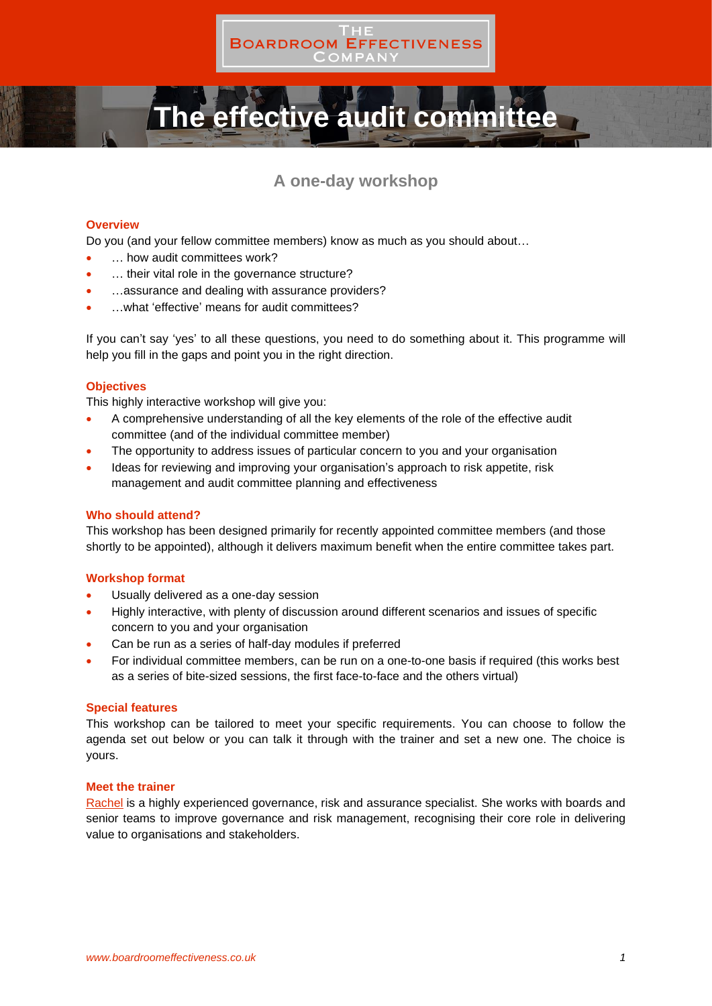

# **The effective audit committee**

# **A one-day workshop**

# **Overview**

Do you (and your fellow committee members) know as much as you should about…

- ... how audit committees work?
- ... their vital role in the governance structure?
- ... assurance and dealing with assurance providers?
- …what 'effective' means for audit committees?

If you can't say 'yes' to all these questions, you need to do something about it. This programme will help you fill in the gaps and point you in the right direction.

# **Objectives**

This highly interactive workshop will give you:

- A comprehensive understanding of all the key elements of the role of the effective audit committee (and of the individual committee member)
- The opportunity to address issues of particular concern to you and your organisation
- Ideas for reviewing and improving your organisation's approach to risk appetite, risk management and audit committee planning and effectiveness

# **Who should attend?**

This workshop has been designed primarily for recently appointed committee members (and those shortly to be appointed), although it delivers maximum benefit when the entire committee takes part.

## **Workshop format**

- Usually delivered as a one-day session
- Highly interactive, with plenty of discussion around different scenarios and issues of specific concern to you and your organisation
- Can be run as a series of half-day modules if preferred
- For individual committee members, can be run on a one-to-one basis if required (this works best as a series of bite-sized sessions, the first face-to-face and the others virtual)

## **Special features**

This workshop can be tailored to meet your specific requirements. You can choose to follow the agenda set out below or you can talk it through with the trainer and set a new one. The choice is yours.

## **Meet the trainer**

[Rachel](https://boardroomeffectiveness.co.uk/about-us/the-team/rachel-bowden/) is a highly experienced governance, risk and assurance specialist. She works with boards and senior teams to improve governance and risk management, recognising their core role in delivering value to organisations and stakeholders.